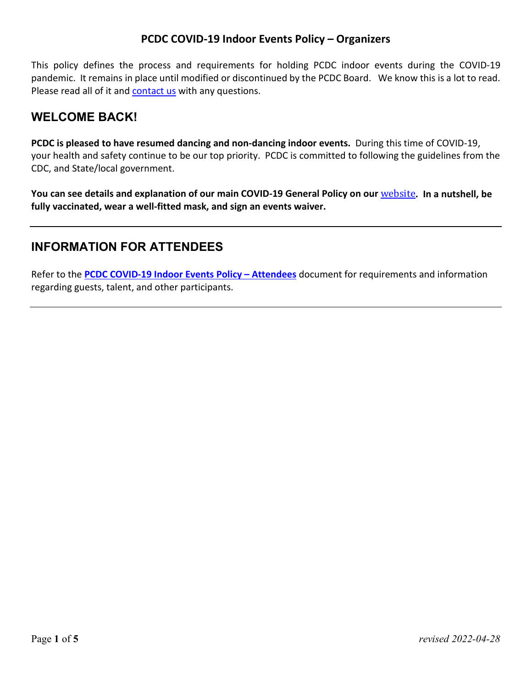This policy defines the process and requirements for holding PCDC indoor events during the COVID-19 pandemic. It remains in place until modified or discontinued by the PCDC Board. We know this is a lot to read. Please read all of it and [contact us](https://portlandcountrydance.org/contact) with any questions.

## **WELCOME BACK!**

**PCDC is pleased to have resumed dancing and non-dancing indoor events.** During this time of COVID-19, your health and safety continue to be our top priority. PCDC is committed to following the guidelines from the CDC, and State/local government.

**You can see details and explanation of our main COVID-19 General Policy on our** [website](https://portlandcountrydance.org/covid19)**. In a nutshell, be fully vaccinated, wear a well-fitted mask, and sign an events waiver.**

# **INFORMATION FOR ATTENDEES**

Refer to the **[PCDC COVID-19 Indoor Events Policy – Attendees](https://portlandcountrydance.org/files/PCDC_COVID_Indoor_Events_Attendees.pdf)** document for requirements and information regarding guests, talent, and other participants.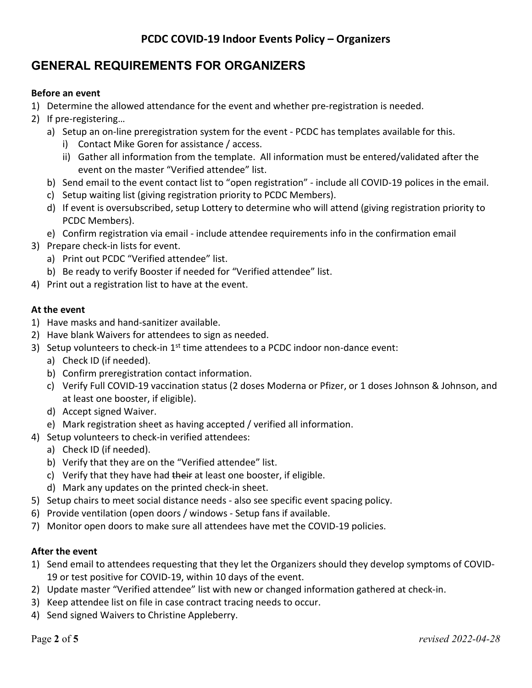# **GENERAL REQUIREMENTS FOR ORGANIZERS**

### **Before an event**

- 1) Determine the allowed attendance for the event and whether pre-registration is needed.
- 2) If pre-registering…
	- a) Setup an on-line preregistration system for the event PCDC has templates available for this.
		- i) Contact Mike Goren for assistance / access.
		- ii) Gather all information from the template. All information must be entered/validated after the event on the master "Verified attendee" list.
	- b) Send email to the event contact list to "open registration" include all COVID-19 polices in the email.
	- c) Setup waiting list (giving registration priority to PCDC Members).
	- d) If event is oversubscribed, setup Lottery to determine who will attend (giving registration priority to PCDC Members).
	- e) Confirm registration via email include attendee requirements info in the confirmation email
- 3) Prepare check-in lists for event.
	- a) Print out PCDC "Verified attendee" list.
	- b) Be ready to verify Booster if needed for "Verified attendee" list.
- 4) Print out a registration list to have at the event.

### **At the event**

- 1) Have masks and hand-sanitizer available.
- 2) Have blank Waivers for attendees to sign as needed.
- 3) Setup volunteers to check-in  $1<sup>st</sup>$  time attendees to a PCDC indoor non-dance event:
	- a) Check ID (if needed).
	- b) Confirm preregistration contact information.
	- c) Verify Full COVID-19 vaccination status (2 doses Moderna or Pfizer, or 1 doses Johnson & Johnson, and at least one booster, if eligible).
	- d) Accept signed Waiver.
	- e) Mark registration sheet as having accepted / verified all information.
- 4) Setup volunteers to check-in verified attendees:
	- a) Check ID (if needed).
	- b) Verify that they are on the "Verified attendee" list.
	- c) Verify that they have had their at least one booster, if eligible.
	- d) Mark any updates on the printed check-in sheet.
- 5) Setup chairs to meet social distance needs also see specific event spacing policy.
- 6) Provide ventilation (open doors / windows Setup fans if available.
- 7) Monitor open doors to make sure all attendees have met the COVID-19 policies.

### **After the event**

- 1) Send email to attendees requesting that they let the Organizers should they develop symptoms of COVID-19 or test positive for COVID-19, within 10 days of the event.
- 2) Update master "Verified attendee" list with new or changed information gathered at check-in.
- 3) Keep attendee list on file in case contract tracing needs to occur.
- 4) Send signed Waivers to Christine Appleberry.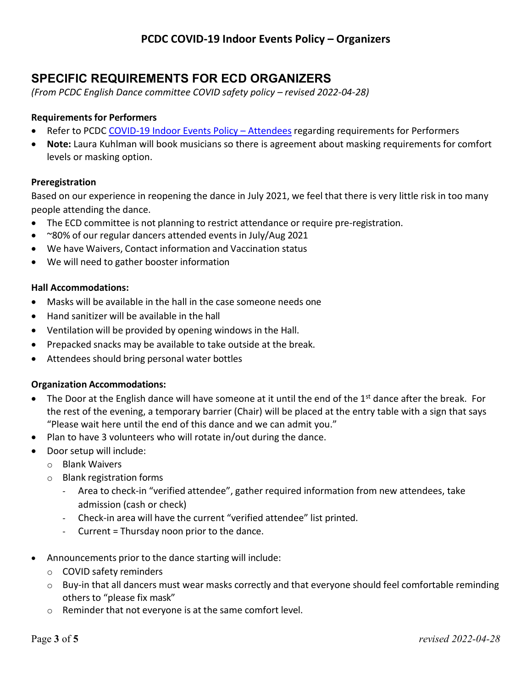# **SPECIFIC REQUIREMENTS FOR ECD ORGANIZERS**

*(From PCDC English Dance committee COVID safety policy – revised 2022-04-28)* 

### **Requirements for Performers**

- Refer to PCDC [COVID-19 Indoor Events Policy Attendees](https://portlandcountrydance.org/files/PCDC_Covid_Indoor_Events_Attendees.pdf) regarding requirements for Performers
- **Note:** Laura Kuhlman will book musicians so there is agreement about masking requirements for comfort levels or masking option.

#### **Preregistration**

Based on our experience in reopening the dance in July 2021, we feel that there is very little risk in too many people attending the dance.

- The ECD committee is not planning to restrict attendance or require pre-registration.
- ~80% of our regular dancers attended events in July/Aug 2021
- We have Waivers, Contact information and Vaccination status
- We will need to gather booster information

#### **Hall Accommodations:**

- Masks will be available in the hall in the case someone needs one
- Hand sanitizer will be available in the hall
- Ventilation will be provided by opening windows in the Hall.
- Prepacked snacks may be available to take outside at the break.
- Attendees should bring personal water bottles

#### **Organization Accommodations:**

- The Door at the English dance will have someone at it until the end of the  $1<sup>st</sup>$  dance after the break. For the rest of the evening, a temporary barrier (Chair) will be placed at the entry table with a sign that says "Please wait here until the end of this dance and we can admit you."
- Plan to have 3 volunteers who will rotate in/out during the dance.
- Door setup will include:
	- o Blank Waivers
	- o Blank registration forms
		- Area to check-in "verified attendee", gather required information from new attendees, take admission (cash or check)
		- Check-in area will have the current "verified attendee" list printed.
		- Current = Thursday noon prior to the dance.
- Announcements prior to the dance starting will include:
	- o COVID safety reminders
	- o Buy-in that all dancers must wear masks correctly and that everyone should feel comfortable reminding others to "please fix mask"
	- o Reminder that not everyone is at the same comfort level.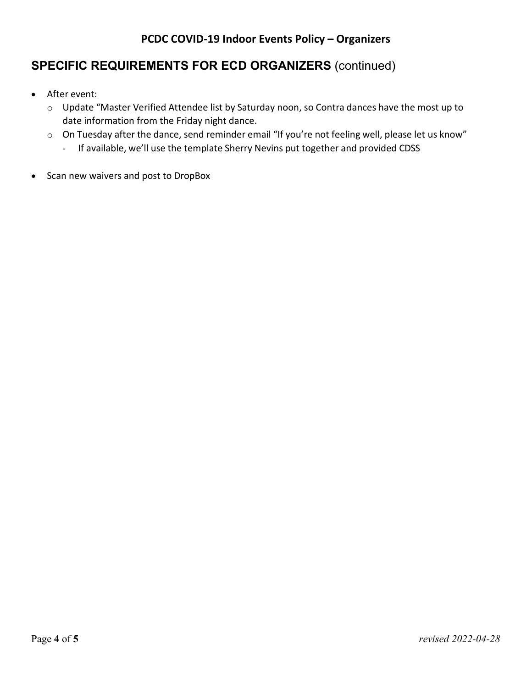# **SPECIFIC REQUIREMENTS FOR ECD ORGANIZERS** (continued)

- After event:
	- o Update "Master Verified Attendee list by Saturday noon, so Contra dances have the most up to date information from the Friday night dance.
	- o On Tuesday after the dance, send reminder email "If you're not feeling well, please let us know"
		- If available, we'll use the template Sherry Nevins put together and provided CDSS
- Scan new waivers and post to DropBox